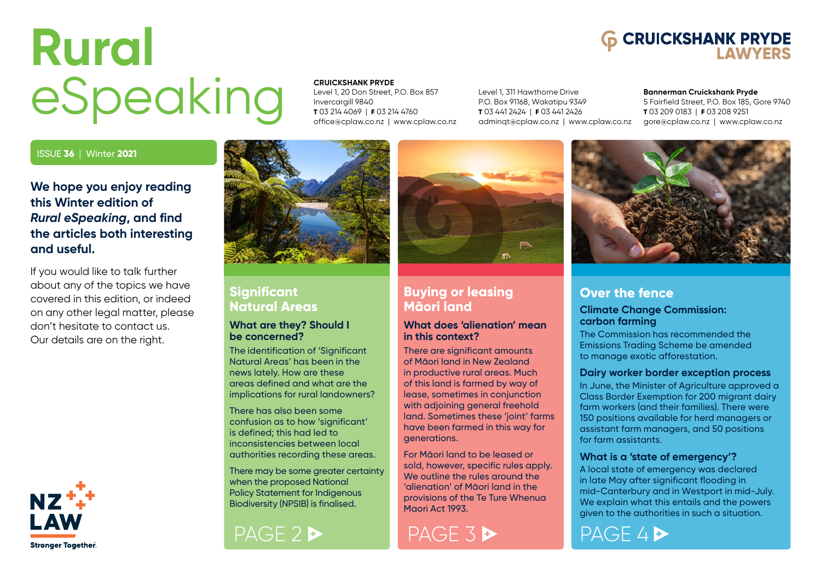# <span id="page-0-0"></span>**Rural** eSpeaking



Level 1, 20 Don Street, P.O. Box 857 Invercargill 9840 **T** 03 214 4069 | **F** 03 214 4760 [office@cplaw.co.nz](mailto:office%40cplaw.co.nz?subject=) | [www.cplaw.co.nz](http://www.cplaw.co.nz)

Level 1, 311 Hawthorne Drive P.O. Box 91168, Wakatipu 9349 **T** 03 441 2424 | **F** 03 441 2426 [adminqt@cplaw.co.nz](mailto:adminqt%40cplaw.co.nz?subject=) | [www.cplaw.co.nz](http://www.cplaw.co.nz)

#### **Bannerman Cruickshank Pryde**

**6 CRUICKSHANK PRYDE** 

5 Fairfield Street, P.O. Box 185, Gore 9740 **T** 03 209 0183 | **F** 03 208 9251 [gore@cplaw.co.nz](mailto:gore%40cplaw.co.nz?subject=) | [www.cplaw.co.nz](http://www.cplaw.co.nz)

#### ISSUE **36** | Winter **2021**

### **We hope you enjoy reading this Winter edition of** *Rural eSpeaking***, and find the articles both interesting and useful.**

If you would like to talk further about any of the topics we have covered in this edition, or indeed on any other legal matter, please don't hesitate to contact us. Our details are on the right.





### **Significant Natural Areas**

#### **What are they? Should I be concerned?**

The identification of 'Significant Natural Areas' has been in the news lately. How are these areas defined and what are the implications for rural landowners?

There has also been some confusion as to how 'significant' is defined; this had led to inconsistencies between local authorities recording these areas.

There may be some greater certainty when the proposed National Policy Statement for Indigenous Biodiversity (NPSIB) is finalised.





#### **Buying or leasing Māori land**

#### **What does 'alienation' mean in this context?**

There are significant amounts of Māori land in New Zealand in productive rural areas. Much of this land is farmed by way of lease, sometimes in conjunction with adioining general freehold land. Sometimes these 'joint' farms have been farmed in this way for generations.

For Māori land to be leased or sold, however, specific rules apply. We outline the rules around the 'alienation' of Māori land in the provisions of the Te Ture Whenua Maori Act 1993.



### **Over the fence**

#### **Climate Change Commission: carbon farming**

The Commission has recommended the Emissions Trading Scheme be amended to manage exotic afforestation.

#### **Dairy worker border exception process**

In June, the Minister of Agriculture approved a Class Border Exemption for 200 migrant dairy farm workers (and their families). There were 150 positions available for herd managers or assistant farm managers, and 50 positions for farm assistants.

#### **What is a 'state of emergency'?**

A local state of emergency was declared in late May after significant flooding in mid-Canterbury and in Westport in mid-July. We explain what this entails and the powers given to the authorities in such a situation.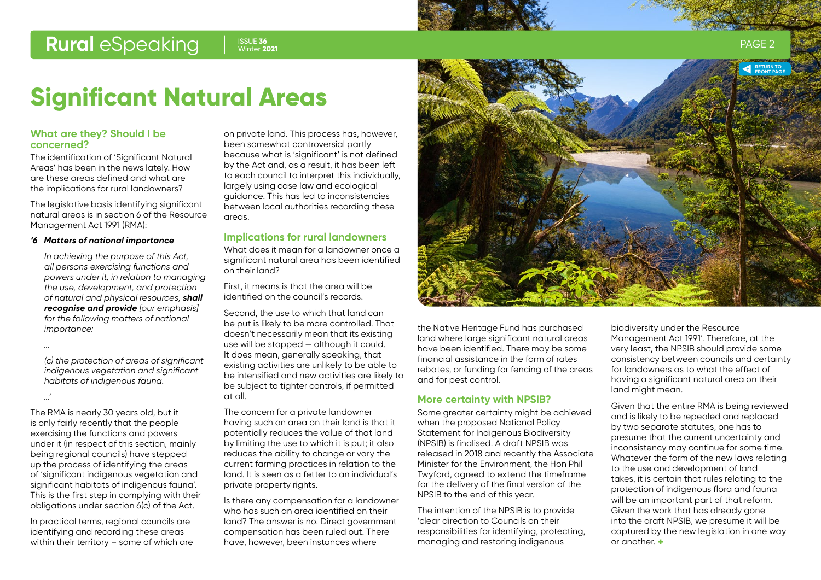Summer 2020 Winter **2021**ISSUE **36**

# **Significant Natural Areas**

#### **What are they? Should I be concerned?**

The identification of 'Significant Natural Areas' has been in the news lately. How are these areas defined and what are the implications for rural landowners?

The legislative basis identifying significant natural areas is in section 6 of the Resource Management Act 1991 (RMA):

#### *'6 Matters of national importance*

*In achieving the purpose of this Act, all persons exercising functions and powers under it, in relation to managing the use, development, and protection of natural and physical resources, shall recognise and provide [our emphasis] for the following matters of national importance:*

*…*

*…'*

*(c) the protection of areas of significant indigenous vegetation and significant habitats of indigenous fauna.*

The RMA is nearly 30 years old, but it is only fairly recently that the people exercising the functions and powers under it (in respect of this section, mainly being regional councils) have stepped up the process of identifying the areas of 'significant indigenous vegetation and significant habitats of indigenous fauna'. This is the first step in complying with their obligations under section 6(c) of the Act.

In practical terms, regional councils are identifying and recording these areas within their territory – some of which are on private land. This process has, however, been somewhat controversial partly because what is 'significant' is not defined by the Act and, as a result, it has been left to each council to interpret this individually, largely using case law and ecological guidance. This has led to inconsistencies between local authorities recording these areas.

#### **Implications for rural landowners**

What does it mean for a landowner once a significant natural area has been identified on their land?

First, it means is that the area will be identified on the council's records.

Second, the use to which that land can be put is likely to be more controlled. That doesn't necessarily mean that its existing use will be stopped — although it could. It does mean, generally speaking, that existing activities are unlikely to be able to be intensified and new activities are likely to be subject to tighter controls, if permitted at all.

The concern for a private landowner having such an area on their land is that it potentially reduces the value of that land by limiting the use to which it is put; it also reduces the ability to change or vary the current farming practices in relation to the land. It is seen as a fetter to an individual's private property rights.

Is there any compensation for a landowner who has such an area identified on their land? The answer is no. Direct government compensation has been ruled out. There have, however, been instances where

<span id="page-1-0"></span>

the Native Heritage Fund has purchased land where large significant natural areas have been identified. There may be some financial assistance in the form of rates rebates, or funding for fencing of the areas and for pest control.

#### **More certainty with NPSIB?**

Some greater certainty might be achieved when the proposed National Policy Statement for Indigenous Biodiversity (NPSIB) is finalised. A draft NPSIB was released in 2018 and recently the Associate Minister for the Environment, the Hon Phil Twyford, agreed to extend the timeframe for the delivery of the final version of the NPSIB to the end of this year.

The intention of the NPSIB is to provide 'clear direction to Councils on their responsibilities for identifying, protecting, managing and restoring indigenous

biodiversity under the Resource Management Act 1991'. Therefore, at the very least, the NPSIB should provide some consistency between councils and certainty for landowners as to what the effect of having a significant natural area on their land might mean.

Given that the entire RMA is being reviewed and is likely to be repealed and replaced by two separate statutes, one has to presume that the current uncertainty and inconsistency may continue for some time. Whatever the form of the new laws relating to the use and development of land takes, it is certain that rules relating to the protection of indigenous flora and fauna will be an important part of that reform. Given the work that has already gone into the draft NPSIB, we presume it will be captured by the new legislation in one way or another. **+**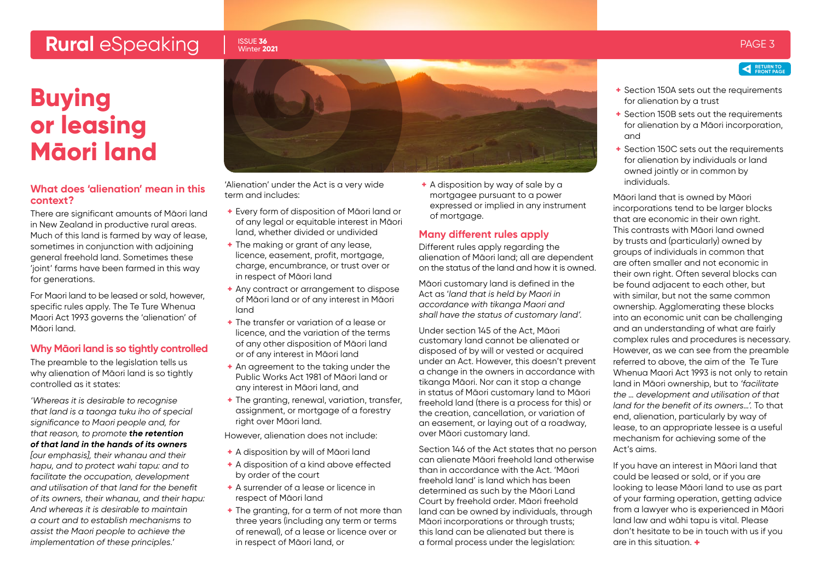### <span id="page-2-0"></span>**Rural** eSpeaking Issue 36 winter 2021

#### ISSUE **36** Winter **2021**

**Buying or leasing Māori land**

#### **What does 'alienation' mean in this context?**

There are significant amounts of Māori land in New Zealand in productive rural areas. Much of this land is farmed by way of lease, sometimes in conjunction with adjoining general freehold land. Sometimes these 'joint' farms have been farmed in this way for generations.

For Maori land to be leased or sold, however, specific rules apply. The Te Ture Whenua Maori Act 1993 governs the 'alienation' of Māori land.

#### **Why Māori land is so tightly controlled**

The preamble to the leaislation tells us why alienation of Māori land is so tightly controlled as it states:

*'Whereas it is desirable to recognise that land is a taonga tuku iho of special significance to Maori people and, for that reason, to promote the retention of that land in the hands of its owners [our emphasis], their whanau and their hapu, and to protect wahi tapu: and to facilitate the occupation, development and utilisation of that land for the benefit of its owners, their whanau, and their hapu: And whereas it is desirable to maintain a court and to establish mechanisms to assist the Maori people to achieve the implementation of these principles.'*



'Alienation' under the Act is a very wide term and includes:

- **+** Every form of disposition of Māori land or of any legal or equitable interest in Māori land, whether divided or undivided
- **+** The making or grant of any lease, licence, easement, profit, mortgage, charge, encumbrance, or trust over or in respect of Māori land
- **+** Any contract or arrangement to dispose of Māori land or of any interest in Māori land
- **+** The transfer or variation of a lease or licence, and the variation of the terms of any other disposition of Māori land or of any interest in Māori land
- **+** An agreement to the taking under the Public Works Act 1981 of Māori land or any interest in Māori land, and
- **+** The granting, renewal, variation, transfer, assignment, or mortgage of a forestry right over Māori land.
- However, alienation does not include:
- **+** A disposition by will of Māori land
- **+** A disposition of a kind above effected by order of the court
- **+** A surrender of a lease or licence in respect of Māori land
- **+** The granting, for a term of not more than three years (including any term or terms of renewal), of a lease or licence over or in respect of Māori land, or

**+** A disposition by way of sale by a mortgagee pursuant to a power expressed or implied in any instrument of mortgage.

#### **Many different rules apply**

Different rules apply regarding the alienation of Māori land; all are dependent on the status of the land and how it is owned.

Māori customary land is defined in the Act as '*land that is held by Maori in accordance with tikanga Maori and shall have the status of customary land'.*

Under section 145 of the Act, Māori customary land cannot be alienated or disposed of by will or vested or acquired under an Act. However, this doesn't prevent a change in the owners in accordance with tikanga Māori. Nor can it stop a change in status of Māori customary land to Māori freehold land (there is a process for this) or the creation, cancellation, or variation of an easement, or laying out of a roadway, over Māori customary land.

Section 146 of the Act states that no person can alienate Māori freehold land otherwise than in accordance with the Act. 'Māori freehold land' is land which has been determined as such by the Māori Land Court by freehold order. Māori freehold land can be owned by individuals, through Māori incorporations or through trusts; this land can be alienated but there is a formal process under the legislation:



- **+** Section 150A sets out the requirements for alienation by a trust
- **+** Section 150B sets out the requirements for alienation by a Māori incorporation, and
- **+** Section 150C sets out the requirements for alienation by individuals or land owned jointly or in common by individuals.

Māori land that is owned by Māori incorporations tend to be larger blocks that are economic in their own right. This contrasts with Māori land owned by trusts and (particularly) owned by groups of individuals in common that are often smaller and not economic in their own right. Often several blocks can be found adjacent to each other, but with similar, but not the same common ownership. Agglomerating these blocks into an economic unit can be challenging and an understanding of what are fairly complex rules and procedures is necessary. However, as we can see from the preamble referred to above, the aim of the Te Ture Whenua Maori Act 1993 is not only to retain land in Māori ownership, but to *'facilitate the … development and utilisation of that land for the benefit of its owners…'.* To that end, alienation, particularly by way of lease, to an appropriate lessee is a useful mechanism for achieving some of the Act's aims.

If you have an interest in Māori land that could be leased or sold, or if you are looking to lease Māori land to use as part of your farming operation, getting advice from a lawyer who is experienced in Māori land law and wāhi tapu is vital. Please don't hesitate to be in touch with us if you are in this situation. **+**